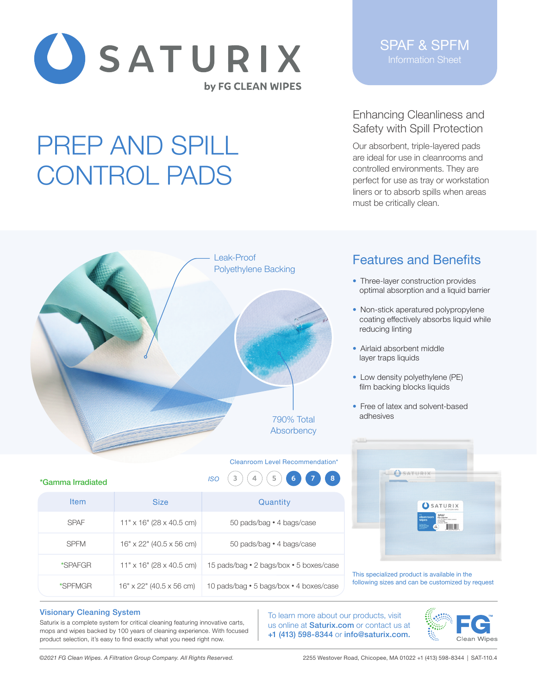

# PREP AND SPILL CONTROL PADS

SPAF & SPFM Information Sheet

## Enhancing Cleanliness and Safety with Spill Protection

Our absorbent, triple-layered pads are ideal for use in cleanrooms and controlled environments. They are perfect for use as tray or workstation liners or to absorb spills when areas must be critically clean.



**Item Size Size Quantity** 

SPFM 16" x 22" (40.5 x 56 cm) 50 pads/bag • 4 bags/case

\*SPAFGR  $11" \times 16"$  (28 x 40.5 cm) 15 pads/bag • 2 bags/box • 5 boxes/case

\*SPFMGR  $\blacksquare$  16" x 22" (40.5 x 56 cm)  $\blacksquare$  10 pads/bag • 5 bags/box • 4 boxes/case

11" x 16" (28 x 40.5 cm) 50 pads/bag • 4 bags/case

*ISO* **3 4 5 6 7 8**

# Features and Benefits

- Three-layer construction provides optimal absorption and a liquid barrier
- Non-stick aperatured polypropylene coating effectively absorbs liquid while reducing linting
- Airlaid absorbent middle layer traps liquids
- Low density polyethylene (PE) film backing blocks liquids
- Free of latex and solvent-based adhesives



This specialized product is available in the following sizes and can be customized by request

#### Visionary Cleaning System

SPAF

\*Gamma Irradiated

Saturix is a complete system for critical cleaning featuring innovative carts, mops and wipes backed by 100 years of cleaning experience. With focused product selection, it's easy to find exactly what you need right now.

To learn more about our products, visit us online at **Saturix.com** or contact us at +1 (413) 598-8344 or info@saturix.com.



*©2021 FG Clean Wipes. A Filtration Group Company. All Rights Reserved.* 2255 Westover Road, Chicopee, MA 01022 +1 (413) 598-8344 | SAT-110.4